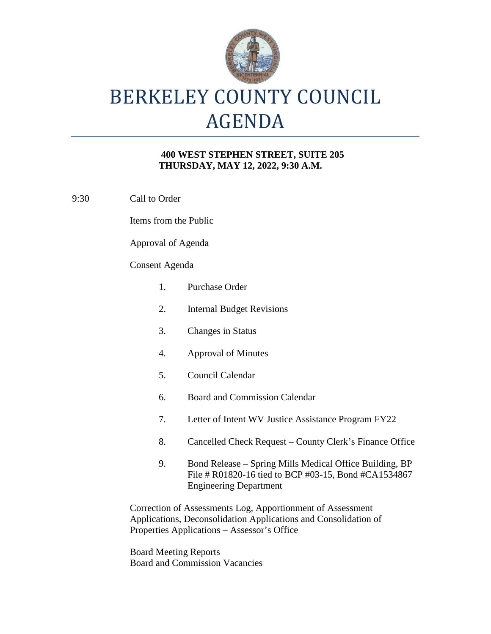

# BERKELEY COUNTY COUNCIL AGENDA

#### **400 WEST STEPHEN STREET, SUITE 205 THURSDAY, MAY 12, 2022, 9:30 A.M.**

9:30 Call to Order

Items from the Public

Approval of Agenda

#### Consent Agenda

| 1.                                                                                                                                                                           | Purchase Order                                                                                                                                   |
|------------------------------------------------------------------------------------------------------------------------------------------------------------------------------|--------------------------------------------------------------------------------------------------------------------------------------------------|
| 2.                                                                                                                                                                           | <b>Internal Budget Revisions</b>                                                                                                                 |
| 3.                                                                                                                                                                           | <b>Changes in Status</b>                                                                                                                         |
| 4.                                                                                                                                                                           | <b>Approval of Minutes</b>                                                                                                                       |
| 5.                                                                                                                                                                           | Council Calendar                                                                                                                                 |
| 6.                                                                                                                                                                           | <b>Board and Commission Calendar</b>                                                                                                             |
| 7.                                                                                                                                                                           | Letter of Intent WV Justice Assistance Program FY22                                                                                              |
| 8.                                                                                                                                                                           | Cancelled Check Request – County Clerk's Finance Office                                                                                          |
| 9.                                                                                                                                                                           | Bond Release – Spring Mills Medical Office Building, BP<br>File # R01820-16 tied to BCP #03-15, Bond #CA1534867<br><b>Engineering Department</b> |
| Correction of Assessments Log, Apportionment of Assessment<br>Applications, Deconsolidation Applications and Consolidation of<br>Properties Applications - Assessor's Office |                                                                                                                                                  |

Board Meeting Reports Board and Commission Vacancies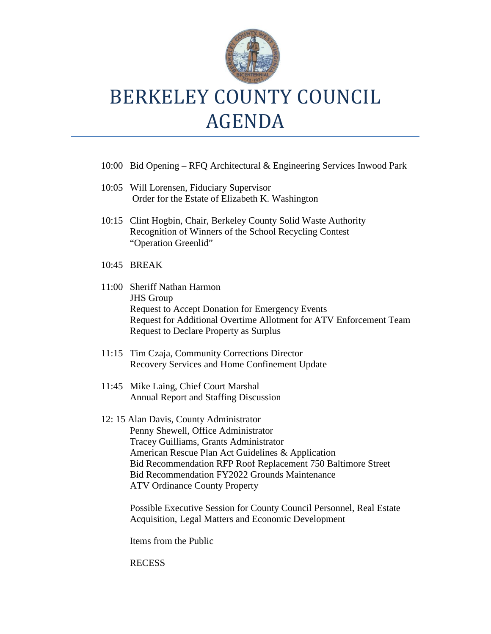

### BERKELEY COUNTY COUNCIL AGENDA

- 10:00 Bid Opening RFQ Architectural & Engineering Services Inwood Park
- 10:05 Will Lorensen, Fiduciary Supervisor Order for the Estate of Elizabeth K. Washington
- 10:15 Clint Hogbin, Chair, Berkeley County Solid Waste Authority Recognition of Winners of the School Recycling Contest "Operation Greenlid"
- 10:45 BREAK
- 11:00 Sheriff Nathan Harmon JHS Group Request to Accept Donation for Emergency Events Request for Additional Overtime Allotment for ATV Enforcement Team Request to Declare Property as Surplus
- 11:15 Tim Czaja, Community Corrections Director Recovery Services and Home Confinement Update
- 11:45 Mike Laing, Chief Court Marshal Annual Report and Staffing Discussion
- 12: 15 Alan Davis, County Administrator Penny Shewell, Office Administrator Tracey Guilliams, Grants Administrator American Rescue Plan Act Guidelines & Application Bid Recommendation RFP Roof Replacement 750 Baltimore Street Bid Recommendation FY2022 Grounds Maintenance ATV Ordinance County Property

Possible Executive Session for County Council Personnel, Real Estate Acquisition, Legal Matters and Economic Development

Items from the Public

#### RECESS